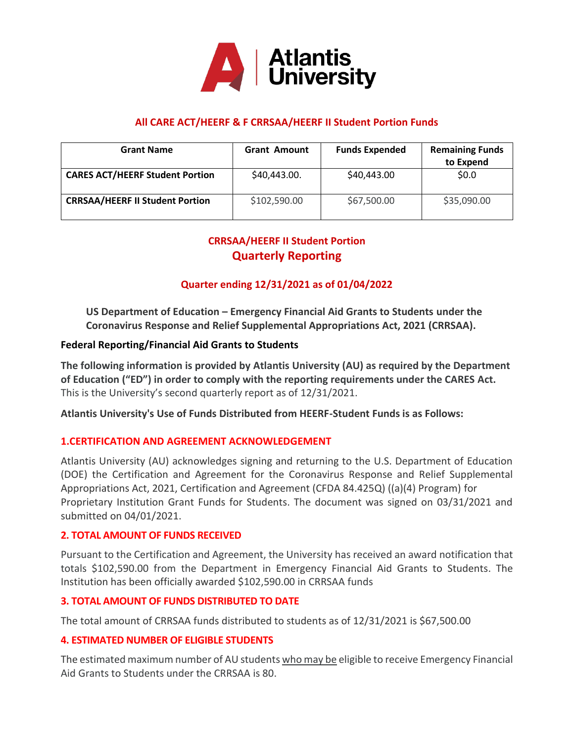

## **All CARE ACT/HEERF & F CRRSAA/HEERF II Student Portion Funds**

| <b>Grant Name</b>                      | <b>Grant Amount</b> | <b>Funds Expended</b> | <b>Remaining Funds</b><br>to Expend |
|----------------------------------------|---------------------|-----------------------|-------------------------------------|
| <b>CARES ACT/HEERF Student Portion</b> | \$40,443.00.        | \$40,443.00           | \$0.0                               |
| <b>CRRSAA/HEERF II Student Portion</b> | \$102,590.00        | \$67,500.00           | \$35,090.00                         |

# **CRRSAA/HEERF II Student Portion Quarterly Reporting**

## **Quarter ending 12/31/2021 as of 01/04/2022**

**US Department of Education – Emergency Financial Aid Grants to Students under the Coronavirus Response and Relief Supplemental Appropriations Act, 2021 (CRRSAA).**

### **Federal Reporting/Financial Aid Grants to Students**

**The following information is provided by Atlantis University (AU) as required by the Department of Education ("ED") in order to comply with the reporting requirements under the CARES Act.**  This is the University's second quarterly report as of 12/31/2021.

**Atlantis University's Use of Funds Distributed from HEERF-Student Funds is as Follows:**

### **1.CERTIFICATION AND AGREEMENT ACKNOWLEDGEMENT**

Atlantis University (AU) acknowledges signing and returning to the U.S. Department of Education (DOE) the Certification and Agreement for the Coronavirus Response and Relief Supplemental Appropriations Act, 2021, Certification and Agreement (CFDA 84.425Q) ((a)(4) Program) for Proprietary Institution Grant Funds for Students. The document was signed on 03/31/2021 and submitted on 04/01/2021.

#### **2. TOTAL AMOUNT OF FUNDS RECEIVED**

Pursuant to the Certification and Agreement, the University has received an award notification that totals \$102,590.00 from the Department in Emergency Financial Aid Grants to Students. The Institution has been officially awarded \$102,590.00 in CRRSAA funds

#### **3. TOTAL AMOUNT OF FUNDS DISTRIBUTED TO DATE**

The total amount of CRRSAA funds distributed to students as of 12/31/2021 is \$67,500.00

### **4. ESTIMATED NUMBER OF ELIGIBLE STUDENTS**

The estimated maximum number of AU students who may be eligible to receive Emergency Financial Aid Grants to Students under the CRRSAA is 80.